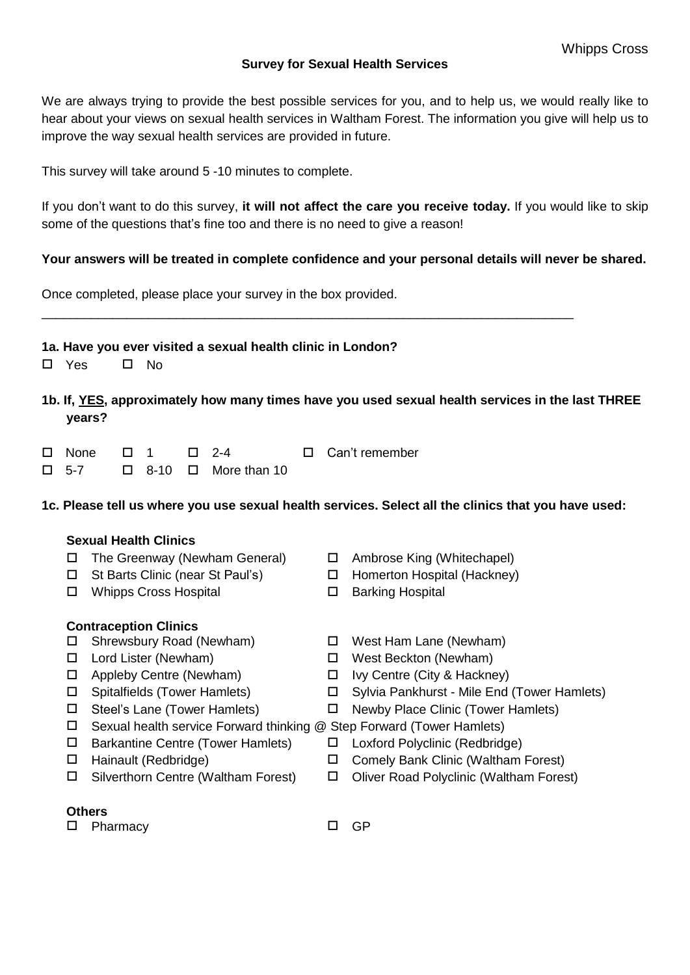### **Survey for Sexual Health Services**

We are always trying to provide the best possible services for you, and to help us, we would really like to hear about your views on sexual health services in Waltham Forest. The information you give will help us to improve the way sexual health services are provided in future.

This survey will take around 5 -10 minutes to complete.

If you don't want to do this survey, **it will not affect the care you receive today.** If you would like to skip some of the questions that's fine too and there is no need to give a reason!

### **Your answers will be treated in complete confidence and your personal details will never be shared.**

\_\_\_\_\_\_\_\_\_\_\_\_\_\_\_\_\_\_\_\_\_\_\_\_\_\_\_\_\_\_\_\_\_\_\_\_\_\_\_\_\_\_\_\_\_\_\_\_\_\_\_\_\_\_\_\_\_\_\_\_\_\_\_\_\_\_\_\_\_\_\_\_\_\_\_

Once completed, please place your survey in the box provided.

### **1a. Have you ever visited a sexual health clinic in London?**

- $\Box$  Yes  $\Box$  No.
- **1b. If, YES, approximately how many times have you used sexual health services in the last THREE years?**
- $\Box$  None  $\Box$  1  $\Box$  2-4  $\Box$  Can't remember  $\Box$  5-7  $\Box$  8-10  $\Box$  More than 10

1c. Please tell us where you use sexual health services. Select all the clinics that you have used:

### **Sexual Health Clinics**

- $\Box$  The Greenway (Newham General)  $\Box$  Ambrose King (Whitechapel)
- □ St Barts Clinic (near St Paul's) □ Homerton Hospital (Hackney)
- □ Whipps Cross Hospital □ Barking Hospital

## **Contraception Clinics**

- Shrewsbury Road (Newham) West Ham Lane (Newham)
- 
- 
- 
- 
- 
- Barkantine Centre (Tower Hamlets) Loxford Polyclinic (Redbridge)
- 
- 
- **Others**
- 
- 
- 
- Lord Lister (Newham) West Beckton (Newham)
- $\Box$  Appleby Centre (Newham)  $\Box$  Ivy Centre (City & Hackney)
- Spitalfields (Tower Hamlets) Sylvia Pankhurst Mile End (Tower Hamlets)
- Steel's Lane (Tower Hamlets) Newby Place Clinic (Tower Hamlets)
- $\Box$  Sexual health service Forward thinking @ Step Forward (Tower Hamlets)
	-
- Hainault (Redbridge) Comely Bank Clinic (Waltham Forest)
- Silverthorn Centre (Waltham Forest) Oliver Road Polyclinic (Waltham Forest)
- 
- □ Pharmacy □ GP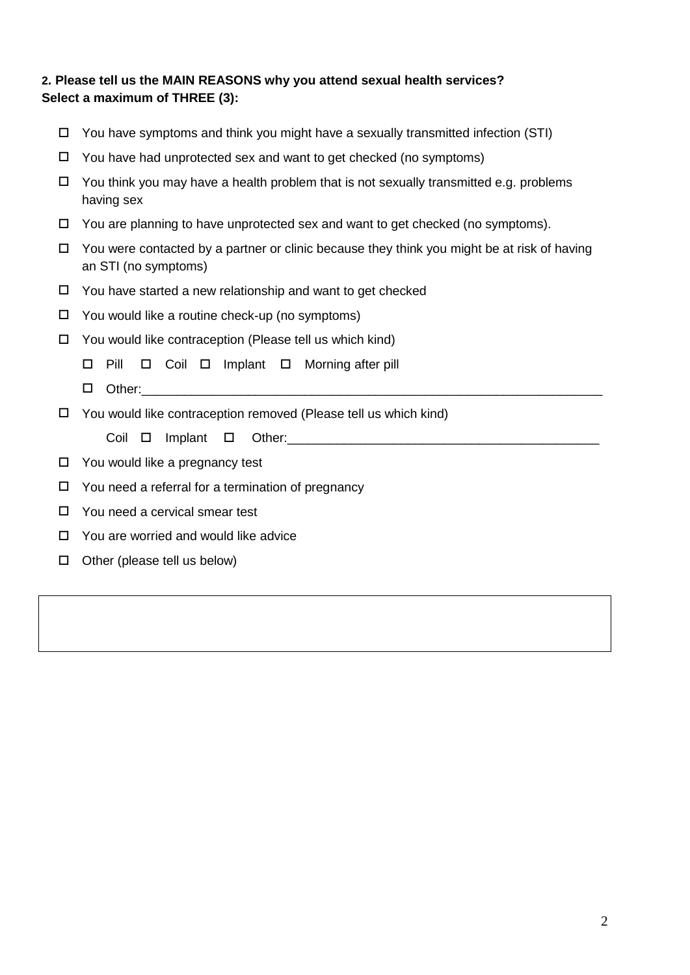# **2. Please tell us the MAIN REASONS why you attend sexual health services? Select a maximum of THREE (3):**

| □  | You have symptoms and think you might have a sexually transmitted infection (STI)                                   |  |  |  |  |  |  |  |  |
|----|---------------------------------------------------------------------------------------------------------------------|--|--|--|--|--|--|--|--|
| □  | You have had unprotected sex and want to get checked (no symptoms)                                                  |  |  |  |  |  |  |  |  |
| □  | You think you may have a health problem that is not sexually transmitted e.g. problems<br>having sex                |  |  |  |  |  |  |  |  |
| □  | You are planning to have unprotected sex and want to get checked (no symptoms).                                     |  |  |  |  |  |  |  |  |
| □  | You were contacted by a partner or clinic because they think you might be at risk of having<br>an STI (no symptoms) |  |  |  |  |  |  |  |  |
| □  | You have started a new relationship and want to get checked                                                         |  |  |  |  |  |  |  |  |
| □  | You would like a routine check-up (no symptoms)                                                                     |  |  |  |  |  |  |  |  |
| П. | You would like contraception (Please tell us which kind)                                                            |  |  |  |  |  |  |  |  |
|    | Pill<br>$\Box$ Coil $\Box$ Implant $\Box$ Morning after pill<br>□                                                   |  |  |  |  |  |  |  |  |
|    |                                                                                                                     |  |  |  |  |  |  |  |  |
|    | □                                                                                                                   |  |  |  |  |  |  |  |  |
| □  | You would like contraception removed (Please tell us which kind)                                                    |  |  |  |  |  |  |  |  |
|    | Coil<br>Implant<br>0<br>$\Box$                                                                                      |  |  |  |  |  |  |  |  |
| □  | You would like a pregnancy test                                                                                     |  |  |  |  |  |  |  |  |
| □  | You need a referral for a termination of pregnancy                                                                  |  |  |  |  |  |  |  |  |
| □  | You need a cervical smear test                                                                                      |  |  |  |  |  |  |  |  |
| □  | You are worried and would like advice                                                                               |  |  |  |  |  |  |  |  |
| □  | Other (please tell us below)                                                                                        |  |  |  |  |  |  |  |  |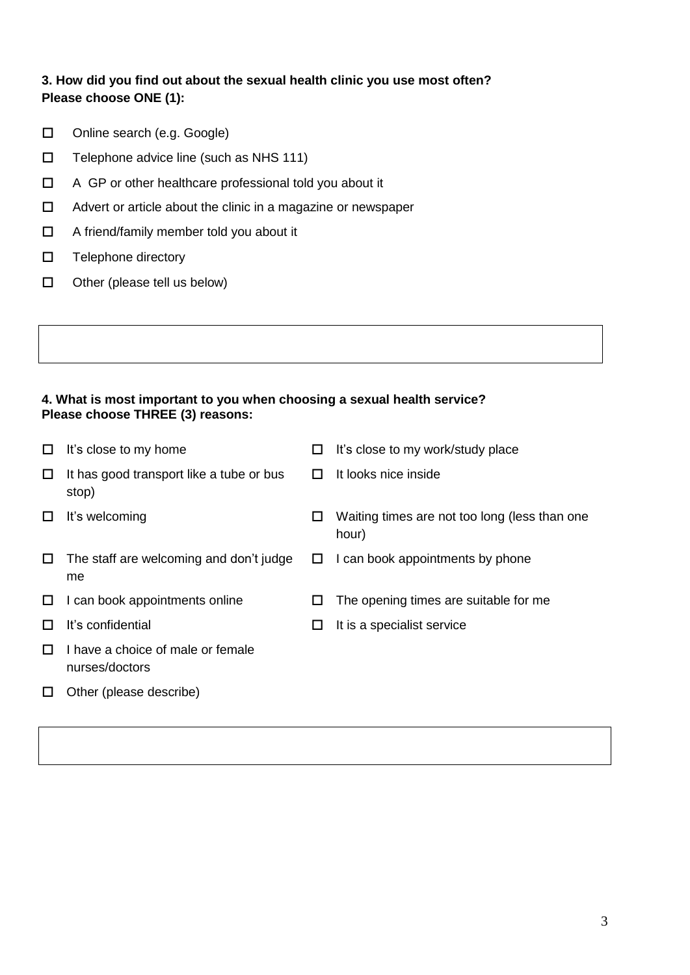# **3. How did you find out about the sexual health clinic you use most often? Please choose ONE (1):**

- □ Online search (e.g. Google)
- $\Box$  Telephone advice line (such as NHS 111)
- □ A GP or other healthcare professional told you about it
- □ Advert or article about the clinic in a magazine or newspaper
- □ A friend/family member told you about it
- $\square$  Telephone directory
- $\Box$  Other (please tell us below)

### **4. What is most important to you when choosing a sexual health service? Please choose THREE (3) reasons:**

|   | It's close to my home                               | ΙI           | It's close to my work/study place                      |
|---|-----------------------------------------------------|--------------|--------------------------------------------------------|
| ⊔ | It has good transport like a tube or bus<br>stop)   | $\mathbf{L}$ | It looks nice inside                                   |
|   | It's welcoming                                      |              | Waiting times are not too long (less than one<br>hour) |
| ப | The staff are welcoming and don't judge<br>me       | ш            | I can book appointments by phone                       |
| ப | I can book appointments online                      | ப            | The opening times are suitable for me                  |
|   | It's confidential                                   | H            | It is a specialist service                             |
|   | I have a choice of male or female<br>nurses/doctors |              |                                                        |
|   | Other (please describe)                             |              |                                                        |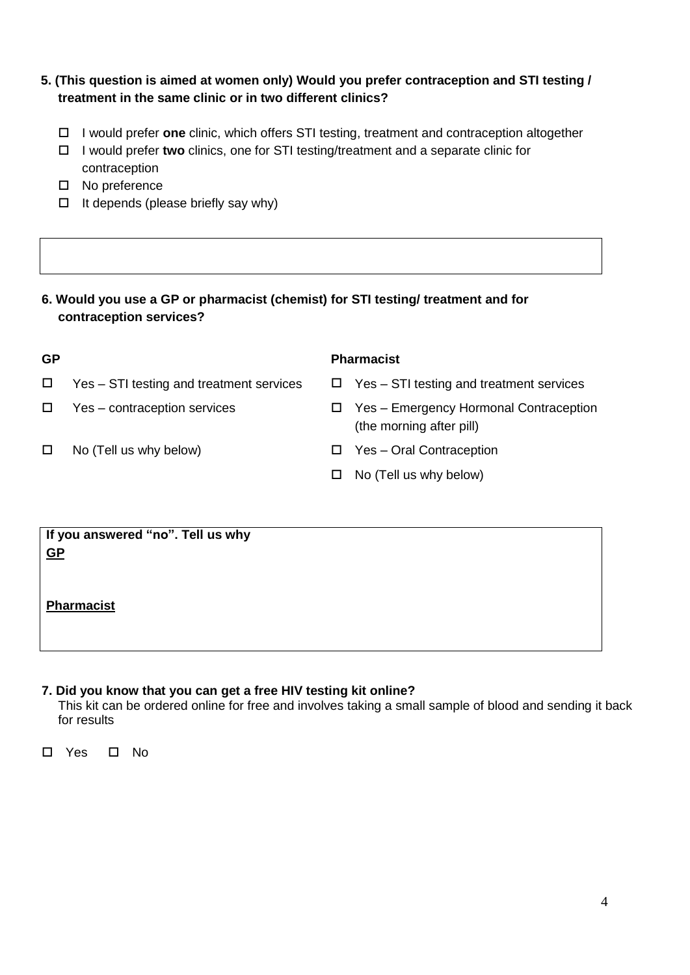# **5. (This question is aimed at women only) Would you prefer contraception and STI testing / treatment in the same clinic or in two different clinics?**

- I would prefer **one** clinic, which offers STI testing, treatment and contraception altogether
- I would prefer **two** clinics, one for STI testing/treatment and a separate clinic for contraception
- □ No preference
- $\Box$  It depends (please briefly say why)

## **6. Would you use a GP or pharmacist (chemist) for STI testing/ treatment and for contraception services?**

| <b>GP</b> |                                          |   | <b>Pharmacist</b>                                                  |
|-----------|------------------------------------------|---|--------------------------------------------------------------------|
| □         | Yes – STI testing and treatment services |   | $\Box$ Yes – STI testing and treatment services                    |
| □         | Yes – contraception services             | ш | Yes – Emergency Hormonal Contraception<br>(the morning after pill) |
|           | No (Tell us why below)                   | ш | Yes – Oral Contraception                                           |
|           |                                          | □ | No (Tell us why below)                                             |
|           |                                          |   |                                                                    |
|           | If you answered "no". Tell us why        |   |                                                                    |
|           |                                          |   |                                                                    |

### **If you answered "no". Tell us why GP**

**Pharmacist**

## **7. Did you know that you can get a free HIV testing kit online?**

This kit can be ordered online for free and involves taking a small sample of blood and sending it back for results

□ Yes □ No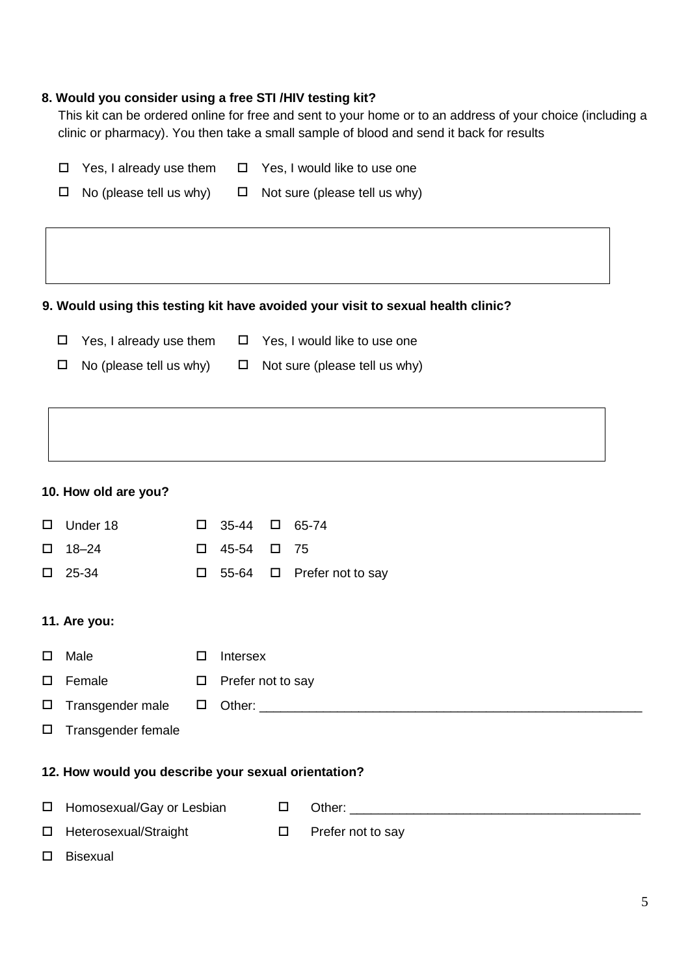### **8. Would you consider using a free STI /HIV testing kit?**

This kit can be ordered online for free and sent to your home or to an address of your choice (including a clinic or pharmacy). You then take a small sample of blood and send it back for results

|                                | $\Box$ Yes, I already use them $\Box$ Yes, I would like to use one |
|--------------------------------|--------------------------------------------------------------------|
| $\Box$ No (please tell us why) | $\Box$ Not sure (please tell us why)                               |

#### **9. Would using this testing kit have avoided your visit to sexual health clinic?**

- $\Box$  Yes, I already use them  $\Box$  Yes, I would like to use one
- $\Box$  No (please tell us why)  $\Box$  Not sure (please tell us why)

#### **10. How old are you?**

| □      | Under 18                                            | $\Box$ | 35-44             | $\Box$ | 65-74             |  |
|--------|-----------------------------------------------------|--------|-------------------|--------|-------------------|--|
|        |                                                     |        |                   |        |                   |  |
| □      | $18 - 24$                                           | $\Box$ | 45-54             | $\Box$ | - 75              |  |
| □      | 25-34                                               | $\Box$ | 55-64             | $\Box$ | Prefer not to say |  |
|        |                                                     |        |                   |        |                   |  |
|        | 11. Are you:                                        |        |                   |        |                   |  |
| □      | Male                                                | □      | Intersex          |        |                   |  |
| □      | Female                                              | $\Box$ | Prefer not to say |        |                   |  |
| $\Box$ | Transgender male                                    | $\Box$ |                   |        |                   |  |
| □      | Transgender female                                  |        |                   |        |                   |  |
|        |                                                     |        |                   |        |                   |  |
|        | 12. How would you describe your sexual orientation? |        |                   |        |                   |  |
| $\Box$ | Homosexual/Gay or Lesbian                           |        |                   | $\Box$ |                   |  |
| □      | Heterosexual/Straight                               |        |                   | □      | Prefer not to say |  |

Bisexual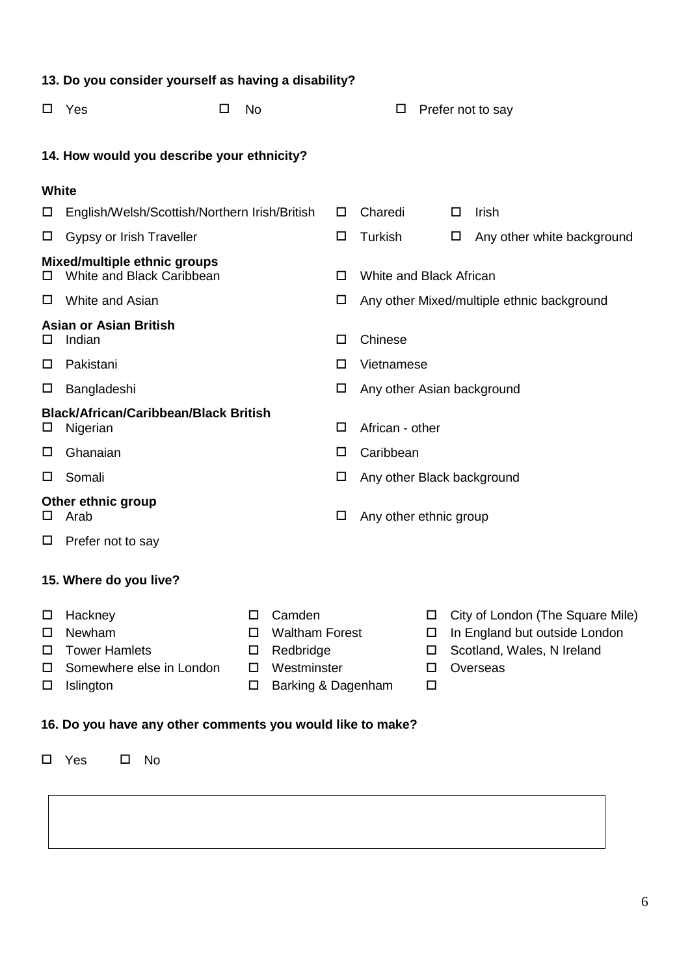|                       | 13. Do you consider yourself as having a disability?                               |                       |                                                                                   |   |                            |                       |   |                                                                                                             |
|-----------------------|------------------------------------------------------------------------------------|-----------------------|-----------------------------------------------------------------------------------|---|----------------------------|-----------------------|---|-------------------------------------------------------------------------------------------------------------|
| □                     | Yes<br>□                                                                           | No                    |                                                                                   |   | □                          |                       |   | Prefer not to say                                                                                           |
|                       | 14. How would you describe your ethnicity?                                         |                       |                                                                                   |   |                            |                       |   |                                                                                                             |
| <b>White</b>          |                                                                                    |                       |                                                                                   |   |                            |                       |   |                                                                                                             |
| $\Box$                | English/Welsh/Scottish/Northern Irish/British                                      |                       |                                                                                   | □ | Charedi                    |                       | □ | Irish                                                                                                       |
| $\Box$                | Gypsy or Irish Traveller                                                           |                       |                                                                                   | □ | Turkish                    |                       | □ | Any other white background                                                                                  |
| ப                     | <b>Mixed/multiple ethnic groups</b><br>White and Black Caribbean                   |                       |                                                                                   | □ | White and Black African    |                       |   |                                                                                                             |
| □                     | White and Asian                                                                    |                       |                                                                                   | □ |                            |                       |   | Any other Mixed/multiple ethnic background                                                                  |
| ப                     | <b>Asian or Asian British</b><br>Indian                                            |                       |                                                                                   | □ | Chinese                    |                       |   |                                                                                                             |
| □                     | Pakistani                                                                          |                       |                                                                                   | □ | Vietnamese                 |                       |   |                                                                                                             |
| □                     | Bangladeshi                                                                        |                       |                                                                                   | □ | Any other Asian background |                       |   |                                                                                                             |
| $\Box$                | <b>Black/African/Caribbean/Black British</b><br>Nigerian                           |                       |                                                                                   | □ | African - other            |                       |   |                                                                                                             |
| □                     | Ghanaian                                                                           |                       |                                                                                   | □ | Caribbean                  |                       |   |                                                                                                             |
| □                     | Somali                                                                             |                       |                                                                                   | □ | Any other Black background |                       |   |                                                                                                             |
| ப                     | Other ethnic group<br>Arab                                                         |                       |                                                                                   | □ | Any other ethnic group     |                       |   |                                                                                                             |
| ப                     | Prefer not to say                                                                  |                       |                                                                                   |   |                            |                       |   |                                                                                                             |
|                       | 15. Where do you live?                                                             |                       |                                                                                   |   |                            |                       |   |                                                                                                             |
| □<br>□<br>□<br>□<br>□ | Hackney<br>Newham<br><b>Tower Hamlets</b><br>Somewhere else in London<br>Islington | □<br>□<br>□<br>□<br>□ | Camden<br><b>Waltham Forest</b><br>Redbridge<br>Westminster<br>Barking & Dagenham |   |                            | ப<br>□<br>□<br>□<br>□ |   | City of London (The Square Mile)<br>In England but outside London<br>Scotland, Wales, N Ireland<br>Overseas |
|                       | 16. Do you have any other comments you would like to make?                         |                       |                                                                                   |   |                            |                       |   |                                                                                                             |

Yes No